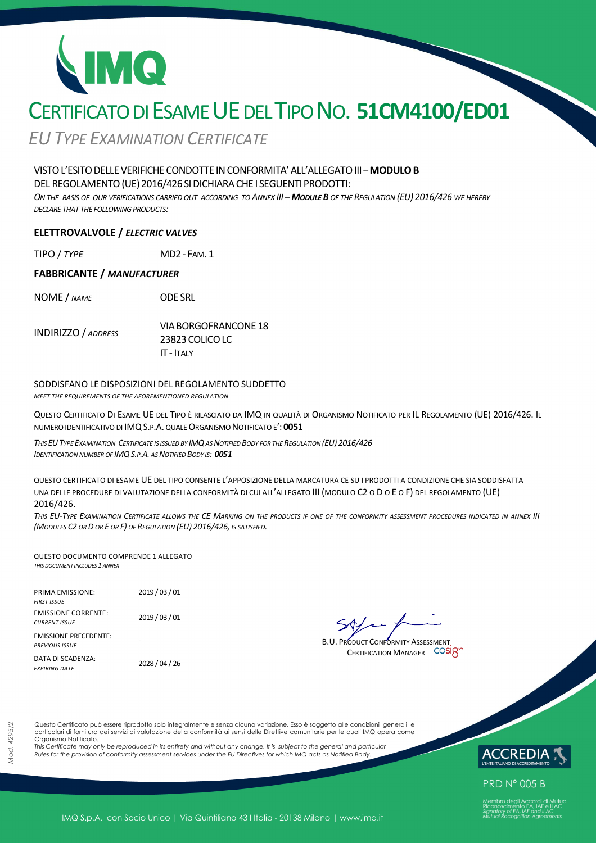# CERTIFICATO DI ESAME UE DEL TIPO NO. **51CM4100/ED01**

*EUTYPE EXAMINATION CERTIFICATE*

# VISTOL'ESITODELLEVERIFICHECONDOTTE INCONFORMITA'ALL'ALLEGATOIII *–***MODULOB**

DEL REGOLAMENTO (UE) 2016/426 SI DICHIARA CHE I SEGUENTI PRODOTTI:

ON THE BASIS OF OUR VERIFICATIONS CARRIED OUT ACCORDING TO ANNEX III - MODULE B OF THE REGULATION (EU) 2016/426 WE HEREBY *DECLARE THAT THE FOLLOWING PRODUCTS:*

### **ELETTROVALVOLE /** *ELECTRIC VALVES*

TIPO / *TYPE* MD2- FAM.1

#### **FABBRICANTE /** *MANUFACTURER*

NOME / *NAME* ODESRL

INDIRIZZO / *ADDRESS* VIABORGOFRANCONE 18 23823COLICOLC IT - ITALY

#### SODDISFANO LE DISPOSIZIONI DEL REGOLAMENTO SUDDETTO

*MEET THE REQUIREMENTS OF THE AFOREMENTIONED REGULATION*

QUESTO CERTIFICATO DI ESAME UE DEL TIPO È RILASCIATO DA IMQ IN QUALITÀ DI ORGANISMO NOTIFICATO PER IL REGOLAMENTO (UE) 2016/426. IL NUMERO IDENTIFICATIVO DI IMQS.P.A. QUALE ORGANISMO NOTIFICATO E': **0051** 

THIS EU TYPE EXAMINATION CERTIFICATE IS ISSUED BY IMQ AS NOTIFIED BODY FOR THE REGULATION (EU) 2016/426 *IDENTIFICATION NUMBER OF IMQS.P.A. AS NOTIFIED BODY IS: 0051*

QUESTO CERTIFICATO DI ESAME UE DEL TIPO CONSENTE L'APPOSIZIONE DELLA MARCATURA CE SU I PRODOTTI A CONDIZIONE CHE SIA SODDISFATTA UNA DELLE PROCEDURE DI VALUTAZIONE DELLA CONFORMITÀ DI CUI ALL'ALLEGATO III (MODULO C2 O D O E O F) DEL REGOLAMENTO (UE) 2016/426.

THIS EU-TYPE EXAMINATION CERTIFICATE ALLOWS THE CE MARKING ON THE PRODUCTS IF ONE OF THE CONFORMITY ASSESSMENT PROCEDURES INDICATED IN ANNEX III *(MODULES C2 OR D OR E OR F) OF REGULATION (EU) 2016/426, IS SATISFIED.* 

QUESTO DOCUMENTO COMPRENDE 1 ALLEGATO *THIS DOCUMENT INCLUDES 1 ANNEX*

| <b>PRIMA EMISSIONE:</b><br><b>FIRST ISSUE</b>         | 2019/03/01     |
|-------------------------------------------------------|----------------|
| <b>EMISSIONE CORRENTE:</b><br><b>CURRENT ISSUE</b>    | 2019/03/01     |
| <b>EMISSIONE PRECEDENTE:</b><br><b>PREVIOUS ISSUE</b> |                |
| DATA DI SCADENZA:<br><b>FXPIRING DATF</b>             | 2028 / 04 / 26 |

B.U. PRODUCT CONFORMITY ASSESSMENT CERTIFICATION MANAGER COSIQN

Questo Certificato può essere riprodotto solo integralmente e senza alcuna variazione. Esso è soggetto alle condizioni generali e particolari di fornitura dei servizi di valutazione della conformità ai sensi delle Direttive comunitarie per le quali IMQ opera come Organismo Notificato.

*This Certificate may only be reproduced in its entirety and without any change. It is subject to the general and particular Rules for the provision of conformity assessment services under the EU Directives for which IMQ acts as Notified Body.* 



**PRD N° 005 B**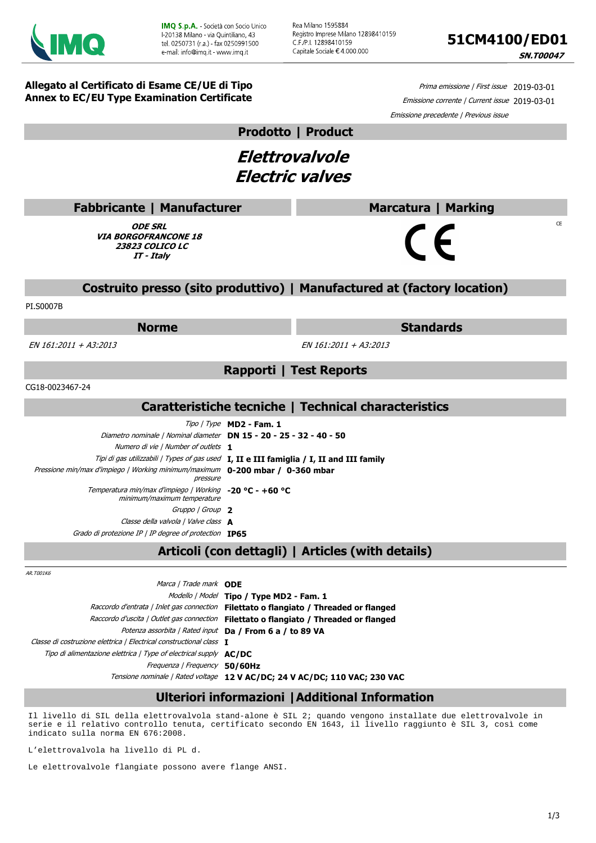

Rea Milano 1595884 Registro Imprese Milano 12898410159 C F /P I. 12898410159 Capitale Sociale € 4.000.000



**SN.T00047** 

 $CF$ 

**Allegato al Certificato di Esame CE/UE di Tipo Annex to EC/EU Type Examination Certificate**

Prima emissione | First issue 2019-03-01 Emissione corrente | Current issue 2019-03-01 Emissione precedente | Previous issue

**Prodotto | Product**

**Elettrovalvole Electric valves**

| <b>Fabbricante   Manufacturer</b> |
|-----------------------------------|
|                                   |

**ODE SRL VIA BORGOFRANCONE 18 23823 COLICO LC IT - Italy**

# **Costruito presso (sito produttivo) | Manufactured at (factory location)**

PI.S0007B

#### **Norme Standards**

**Marcatura | Marking**

 $\epsilon$ 

EN 161:2011 + A3:2013 EN 161:2011 + A3:2013

**Rapporti | Test Reports**

CG18-0023467-24

## **Caratteristiche tecniche | Technical characteristics**

|                                                                                            | $Tipo / Type$ MD2 - Fam. 1                                                               |
|--------------------------------------------------------------------------------------------|------------------------------------------------------------------------------------------|
| Diametro nominale   Nominal diameter DN 15 - 20 - 25 - 32 - 40 - 50                        |                                                                                          |
| Numero di vie   Number of outlets 1                                                        |                                                                                          |
|                                                                                            | Tipi di gas utilizzabili / Types of gas used I, II e III famiglia / I, II and III family |
| Pressione min/max d'impiego   Working minimum/maximum 0-200 mbar / 0-360 mbar<br>pressure  |                                                                                          |
| Temperatura min/max d'impiego   Working $-20$ °C - $+60$ °C<br>minimum/maximum temperature |                                                                                          |
| Gruppo   Group 2                                                                           |                                                                                          |
| Classe della valvola   Valve class <b>A</b>                                                |                                                                                          |
| Grado di protezione IP   IP degree of protection <b>IP65</b>                               |                                                                                          |

# **Articoli (con dettagli) | Articles (with details)**

AR.T001K6

| Marca / Trade mark ODE                                                   |                                                                            |
|--------------------------------------------------------------------------|----------------------------------------------------------------------------|
|                                                                          | Modello   Model Tipo / Type MD2 - Fam. 1                                   |
| Raccordo d'entrata   Inlet gas connection                                | Filettato o flangiato / Threaded or flanged                                |
| Raccordo d'uscita   Outlet gas connection                                | Filettato o flangiato / Threaded or flanged                                |
|                                                                          | Potenza assorbita   Rated input Da   From 6 a   to 89 VA                   |
| Classe di costruzione elettrica   Electrical constructional class 1      |                                                                            |
| Tipo di alimentazione elettrica   Type of electrical supply <b>AC/DC</b> |                                                                            |
| Frequenza / Frequency 50/60Hz                                            |                                                                            |
|                                                                          | Tensione nominale   Rated voltage 12 V AC/DC; 24 V AC/DC; 110 VAC; 230 VAC |

# **Ulteriori informazioni |Additional Information**

Il livello di SIL della elettrovalvola stand-alone è SIL 2; quando vengono installate due elettrovalvole in serie e il relativo controllo tenuta, certificato secondo EN 1643, il livello raggiunto è SIL 3, così come indicato sulla norma EN 676:2008.

L'elettrovalvola ha livello di PL d.

Le elettrovalvole flangiate possono avere flange ANSI.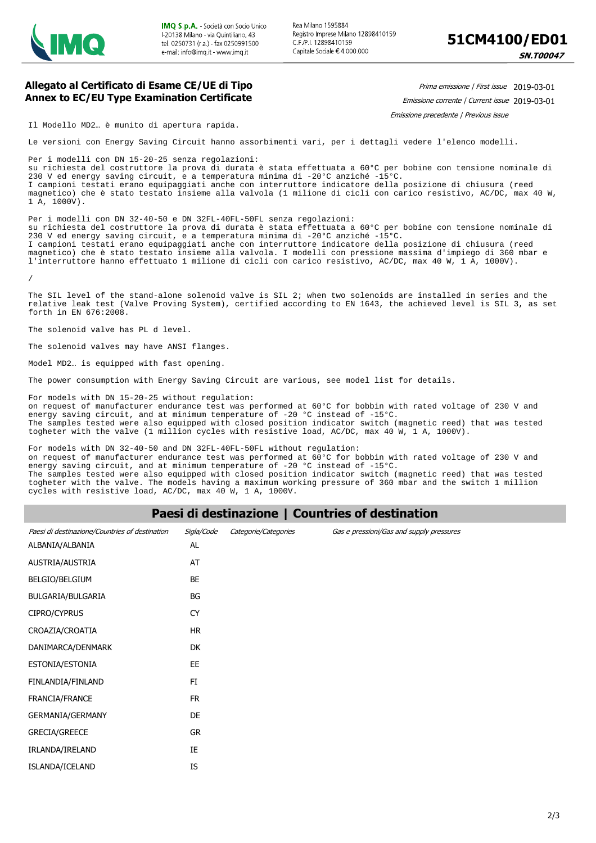

**SN.T00047** 

#### **Allegato al Certificato di Esame CE/UE di Tipo Annex to EC/EU Type Examination Certificate**

Prima emissione | First issue 2019-03-01

Emissione corrente | Current issue 2019-03-01

Emissione precedente | Previous issue

Il Modello MD2… è munito di apertura rapida.

Le versioni con Energy Saving Circuit hanno assorbimenti vari, per i dettagli vedere l'elenco modelli.

Per i modelli con DN 15-20-25 senza regolazioni: su richiesta del costruttore la prova di durata è stata effettuata a 60°C per bobine con tensione nominale di 230 V ed energy saving circuit, e a temperatura minima di -20°C anziché -15°C. I campioni testati erano equipaggiati anche con interruttore indicatore della posizione di chiusura (reed magnetico) che è stato testato insieme alla valvola (1 milione di cicli con carico resistivo, AC/DC, max 40 W, 1 A, 1000V).

Per i modelli con DN 32-40-50 e DN 32FL-40FL-50FL senza regolazioni: su richiesta del costruttore la prova di durata è stata effettuata a 60°C per bobine con tensione nominale di 230 V ed energy saving circuit, e a temperatura minima di -20°C anziché -15°C. I campioni testati erano equipaggiati anche con interruttore indicatore della posizione di chiusura (reed magnetico) che è stato testato insieme alla valvola. I modelli con pressione massima d'impiego di 360 mbar e l'interruttore hanno effettuato 1 milione di cicli con carico resistivo, AC/DC, max 40 W, 1 A, 1000V).

/

The SIL level of the stand-alone solenoid valve is SIL 2; when two solenoids are installed in series and the relative leak test (Valve Proving System), certified according to EN 1643, the achieved level is SIL 3, as set forth in EN 676:2008.

The solenoid valve has PL d level.

The solenoid valves may have ANSI flanges.

Model MD2… is equipped with fast opening.

The power consumption with Energy Saving Circuit are various, see model list for details.

For models with DN 15-20-25 without regulation: on request of manufacturer endurance test was performed at 60°C for bobbin with rated voltage of 230 V and energy saving circuit, and at minimum temperature of -20 °C instead of -15°C. The samples tested were also equipped with closed position indicator switch (magnetic reed) that was tested togheter with the valve (1 million cycles with resistive load, AC/DC, max 40 W, 1 A, 1000V).

For models with DN 32-40-50 and DN 32FL-40FL-50FL without regulation:

on request of manufacturer endurance test was performed at 60°C for bobbin with rated voltage of 230 V and energy saving circuit, and at minimum temperature of -20 °C instead of -15°C.

The samples tested were also equipped with closed position indicator switch (magnetic reed) that was tested togheter with the valve. The models having a maximum working pressure of 360 mbar and the switch 1 million cycles with resistive load, AC/DC, max 40 W, 1 A, 1000V.

# **Paesi di destinazione | Countries of destination**

| Paesi di destinazione/Countries of destination | Sigla/Code | Categorie/Categories | Gas e pressioni/Gas and supply pressures |
|------------------------------------------------|------------|----------------------|------------------------------------------|
| ALBANIA/ALBANIA                                | AL         |                      |                                          |
| AUSTRIA/AUSTRIA                                | AT         |                      |                                          |
| BELGIO/BELGIUM                                 | BE         |                      |                                          |
| BULGARIA/BULGARIA                              | BG         |                      |                                          |
| CIPRO/CYPRUS                                   | <b>CY</b>  |                      |                                          |
| CROAZIA/CROATIA                                | <b>HR</b>  |                      |                                          |
| DANIMARCA/DENMARK                              | DK         |                      |                                          |
| ESTONIA/ESTONIA                                | EE         |                      |                                          |
| FINLANDIA/FINLAND                              | FI         |                      |                                          |
| FRANCIA/FRANCE                                 | <b>FR</b>  |                      |                                          |
| GERMANIA/GERMANY                               | DE         |                      |                                          |
| <b>GRECIA/GREECE</b>                           | <b>GR</b>  |                      |                                          |
| IRLANDA/IRELAND                                | IE         |                      |                                          |
| ISLANDA/ICELAND                                | IS         |                      |                                          |